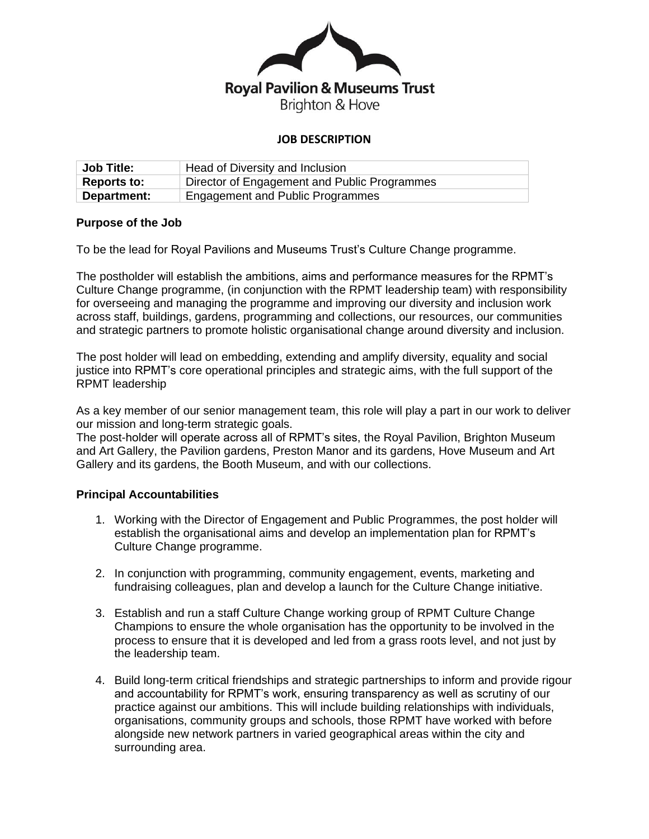

## **JOB DESCRIPTION**

| <b>Job Title:</b>  | Head of Diversity and Inclusion              |
|--------------------|----------------------------------------------|
| <b>Reports to:</b> | Director of Engagement and Public Programmes |
| Department:        | Engagement and Public Programmes             |

#### **Purpose of the Job**

To be the lead for Royal Pavilions and Museums Trust's Culture Change programme.

The postholder will establish the ambitions, aims and performance measures for the RPMT's Culture Change programme, (in conjunction with the RPMT leadership team) with responsibility for overseeing and managing the programme and improving our diversity and inclusion work across staff, buildings, gardens, programming and collections, our resources, our communities and strategic partners to promote holistic organisational change around diversity and inclusion.

The post holder will lead on embedding, extending and amplify diversity, equality and social justice into RPMT's core operational principles and strategic aims, with the full support of the RPMT leadership

As a key member of our senior management team, this role will play a part in our work to deliver our mission and long-term strategic goals.

The post-holder will operate across all of RPMT's sites, the Royal Pavilion, Brighton Museum and Art Gallery, the Pavilion gardens, Preston Manor and its gardens, Hove Museum and Art Gallery and its gardens, the Booth Museum, and with our collections.

#### **Principal Accountabilities**

- 1. Working with the Director of Engagement and Public Programmes, the post holder will establish the organisational aims and develop an implementation plan for RPMT's Culture Change programme.
- 2. In conjunction with programming, community engagement, events, marketing and fundraising colleagues, plan and develop a launch for the Culture Change initiative.
- 3. Establish and run a staff Culture Change working group of RPMT Culture Change Champions to ensure the whole organisation has the opportunity to be involved in the process to ensure that it is developed and led from a grass roots level, and not just by the leadership team.
- 4. Build long-term critical friendships and strategic partnerships to inform and provide rigour and accountability for RPMT's work, ensuring transparency as well as scrutiny of our practice against our ambitions. This will include building relationships with individuals, organisations, community groups and schools, those RPMT have worked with before alongside new network partners in varied geographical areas within the city and surrounding area.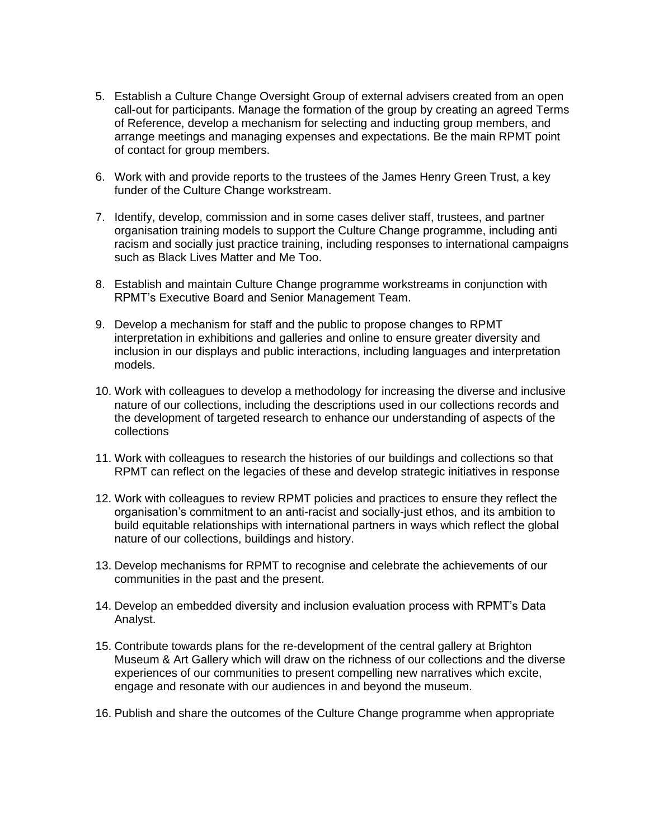- 5. Establish a Culture Change Oversight Group of external advisers created from an open call-out for participants. Manage the formation of the group by creating an agreed Terms of Reference, develop a mechanism for selecting and inducting group members, and arrange meetings and managing expenses and expectations. Be the main RPMT point of contact for group members.
- 6. Work with and provide reports to the trustees of the James Henry Green Trust, a key funder of the Culture Change workstream.
- 7. Identify, develop, commission and in some cases deliver staff, trustees, and partner organisation training models to support the Culture Change programme, including anti racism and socially just practice training, including responses to international campaigns such as Black Lives Matter and Me Too.
- 8. Establish and maintain Culture Change programme workstreams in conjunction with RPMT's Executive Board and Senior Management Team.
- 9. Develop a mechanism for staff and the public to propose changes to RPMT interpretation in exhibitions and galleries and online to ensure greater diversity and inclusion in our displays and public interactions, including languages and interpretation models.
- 10. Work with colleagues to develop a methodology for increasing the diverse and inclusive nature of our collections, including the descriptions used in our collections records and the development of targeted research to enhance our understanding of aspects of the collections
- 11. Work with colleagues to research the histories of our buildings and collections so that RPMT can reflect on the legacies of these and develop strategic initiatives in response
- 12. Work with colleagues to review RPMT policies and practices to ensure they reflect the organisation's commitment to an anti-racist and socially-just ethos, and its ambition to build equitable relationships with international partners in ways which reflect the global nature of our collections, buildings and history.
- 13. Develop mechanisms for RPMT to recognise and celebrate the achievements of our communities in the past and the present.
- 14. Develop an embedded diversity and inclusion evaluation process with RPMT's Data Analyst.
- 15. Contribute towards plans for the re-development of the central gallery at Brighton Museum & Art Gallery which will draw on the richness of our collections and the diverse experiences of our communities to present compelling new narratives which excite, engage and resonate with our audiences in and beyond the museum.
- 16. Publish and share the outcomes of the Culture Change programme when appropriate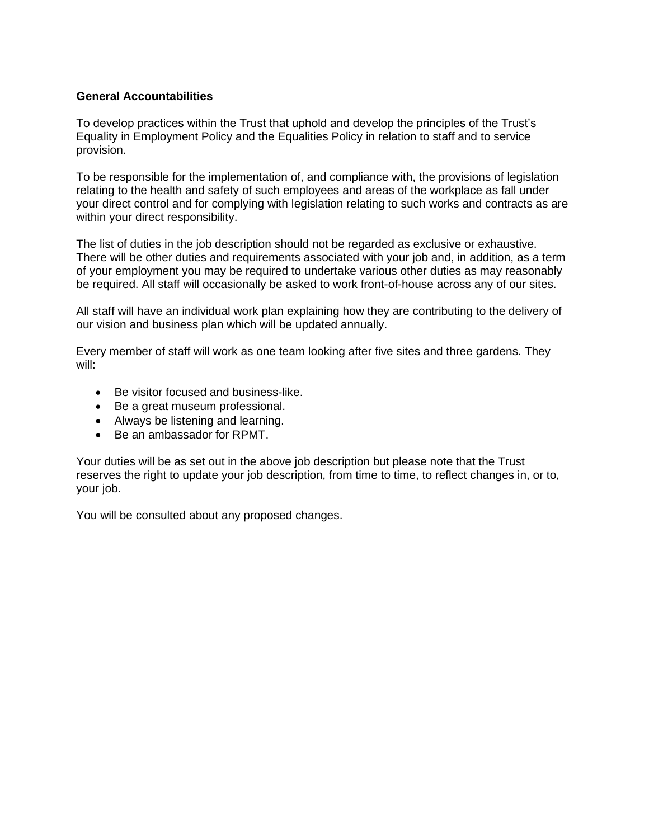## **General Accountabilities**

To develop practices within the Trust that uphold and develop the principles of the Trust's Equality in Employment Policy and the Equalities Policy in relation to staff and to service provision.

To be responsible for the implementation of, and compliance with, the provisions of legislation relating to the health and safety of such employees and areas of the workplace as fall under your direct control and for complying with legislation relating to such works and contracts as are within your direct responsibility.

The list of duties in the job description should not be regarded as exclusive or exhaustive. There will be other duties and requirements associated with your job and, in addition, as a term of your employment you may be required to undertake various other duties as may reasonably be required. All staff will occasionally be asked to work front-of-house across any of our sites.

All staff will have an individual work plan explaining how they are contributing to the delivery of our vision and business plan which will be updated annually.

Every member of staff will work as one team looking after five sites and three gardens. They will:

- Be visitor focused and business-like.
- Be a great museum professional.
- Always be listening and learning.
- Be an ambassador for RPMT.

Your duties will be as set out in the above job description but please note that the Trust reserves the right to update your job description, from time to time, to reflect changes in, or to, your job.

You will be consulted about any proposed changes.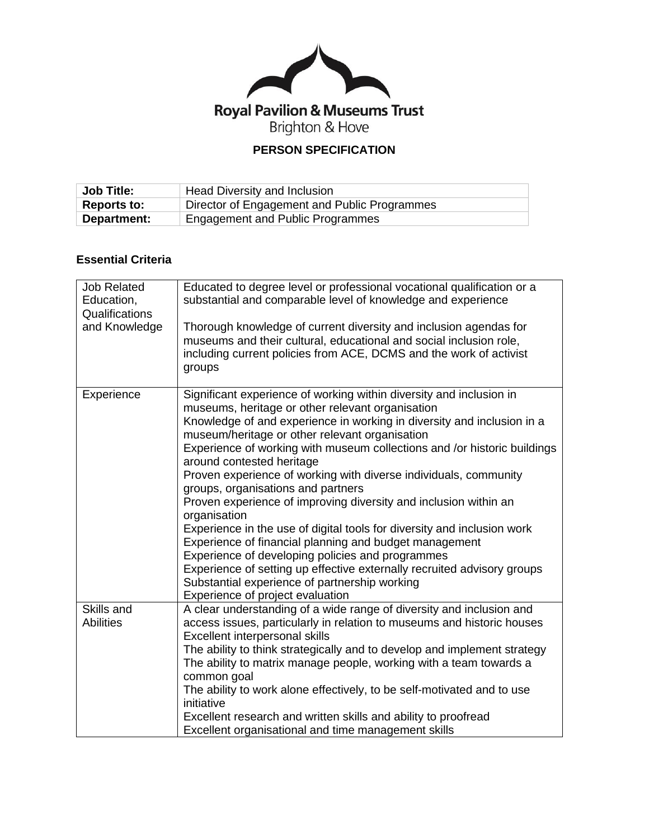

# **PERSON SPECIFICATION**

| <b>Job Title:</b> | <b>Head Diversity and Inclusion</b>                 |
|-------------------|-----------------------------------------------------|
| Reports to:       | <b>Director of Engagement and Public Programmes</b> |
| Department:       | Engagement and Public Programmes                    |

# **Essential Criteria**

| <b>Job Related</b><br>Education,<br>Qualifications<br>and Knowledge | Educated to degree level or professional vocational qualification or a<br>substantial and comparable level of knowledge and experience<br>Thorough knowledge of current diversity and inclusion agendas for<br>museums and their cultural, educational and social inclusion role,<br>including current policies from ACE, DCMS and the work of activist<br>groups                                                                                                                                                                                                                                                                                                                                                                                                                                                                                                                                                   |
|---------------------------------------------------------------------|---------------------------------------------------------------------------------------------------------------------------------------------------------------------------------------------------------------------------------------------------------------------------------------------------------------------------------------------------------------------------------------------------------------------------------------------------------------------------------------------------------------------------------------------------------------------------------------------------------------------------------------------------------------------------------------------------------------------------------------------------------------------------------------------------------------------------------------------------------------------------------------------------------------------|
| Experience                                                          | Significant experience of working within diversity and inclusion in<br>museums, heritage or other relevant organisation<br>Knowledge of and experience in working in diversity and inclusion in a<br>museum/heritage or other relevant organisation<br>Experience of working with museum collections and /or historic buildings<br>around contested heritage<br>Proven experience of working with diverse individuals, community<br>groups, organisations and partners<br>Proven experience of improving diversity and inclusion within an<br>organisation<br>Experience in the use of digital tools for diversity and inclusion work<br>Experience of financial planning and budget management<br>Experience of developing policies and programmes<br>Experience of setting up effective externally recruited advisory groups<br>Substantial experience of partnership working<br>Experience of project evaluation |
| Skills and<br><b>Abilities</b>                                      | A clear understanding of a wide range of diversity and inclusion and<br>access issues, particularly in relation to museums and historic houses<br>Excellent interpersonal skills<br>The ability to think strategically and to develop and implement strategy<br>The ability to matrix manage people, working with a team towards a<br>common goal<br>The ability to work alone effectively, to be self-motivated and to use<br>initiative<br>Excellent research and written skills and ability to proofread<br>Excellent organisational and time management skills                                                                                                                                                                                                                                                                                                                                                  |